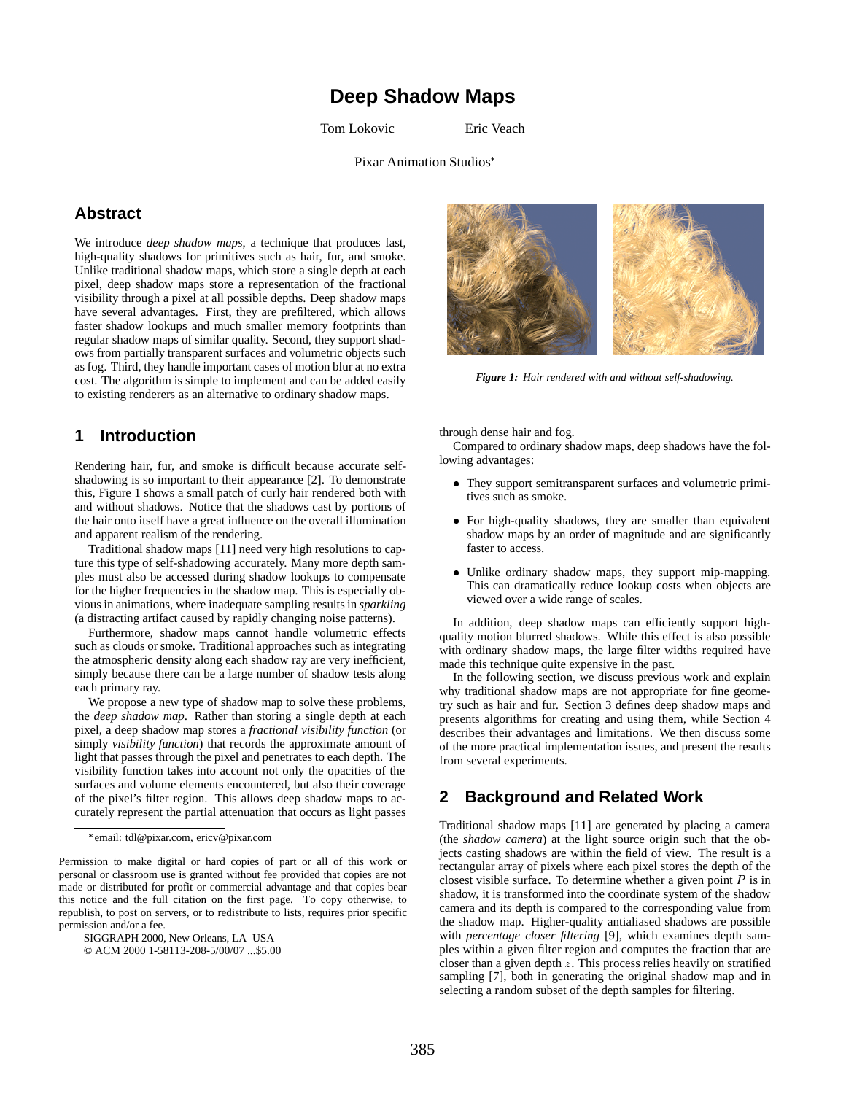# **Deep Shadow Maps**

Tom Lokovic **Eric Veach** 

Pixar Animation Studios

# **Abstract**

We introduce *deep shadow maps*, a technique that produces fast, high-quality shadows for primitives such as hair, fur, and smoke. Unlike traditional shadow maps, which store a single depth at each pixel, deep shadow maps store a representation of the fractional visibility through a pixel at all possible depths. Deep shadow maps have several advantages. First, they are prefiltered, which allows faster shadow lookups and much smaller memory footprints than regular shadow maps of similar quality. Second, they support shadows from partially transparent surfaces and volumetric objects such as fog. Third, they handle important cases of motion blur at no extra cost. The algorithm is simple to implement and can be added easily to existing renderers as an alternative to ordinary shadow maps.

# **1 Introduction**

Rendering hair, fur, and smoke is difficult because accurate selfshadowing is so important to their appearance [2]. To demonstrate this, Figure 1 shows a small patch of curly hair rendered both with and without shadows. Notice that the shadows cast by portions of the hair onto itself have a great influence on the overall illumination and apparent realism of the rendering.

Traditional shadow maps [11] need very high resolutions to capture this type of self-shadowing accurately. Many more depth samples must also be accessed during shadow lookups to compensate for the higher frequencies in the shadow map. This is especially obvious in animations, where inadequate sampling results in *sparkling* (a distracting artifact caused by rapidly changing noise patterns).

Furthermore, shadow maps cannot handle volumetric effects such as clouds or smoke. Traditional approaches such as integrating the atmospheric density along each shadow ray are very inefficient, simply because there can be a large number of shadow tests along each primary ray.

We propose a new type of shadow map to solve these problems, the *deep shadow map*. Rather than storing a single depth at each pixel, a deep shadow map stores a *fractional visibility function* (or simply *visibility function*) that records the approximate amount of light that passes through the pixel and penetrates to each depth. The visibility function takes into account not only the opacities of the surfaces and volume elements encountered, but also their coverage of the pixel's filter region. This allows deep shadow maps to accurately represent the partial attenuation that occurs as light passes

email: tdl@pixar.com, ericv@pixar.com

SIGGRAPH 2000, New Orleans, LA USA © ACM 2000 1-58113-208-5/00/07 ...\$5.00



*Figure 1: Hair rendered with and without self-shadowing.*

through dense hair and fog.

Compared to ordinary shadow maps, deep shadows have the following advantages:

- They support semitransparent surfaces and volumetric primitives such as smoke.
- For high-quality shadows, they are smaller than equivalent shadow maps by an order of magnitude and are significantly faster to access.
- Unlike ordinary shadow maps, they support mip-mapping. This can dramatically reduce lookup costs when objects are viewed over a wide range of scales.

In addition, deep shadow maps can efficiently support highquality motion blurred shadows. While this effect is also possible with ordinary shadow maps, the large filter widths required have made this technique quite expensive in the past.

In the following section, we discuss previous work and explain why traditional shadow maps are not appropriate for fine geometry such as hair and fur. Section 3 defines deep shadow maps and presents algorithms for creating and using them, while Section 4 describes their advantages and limitations. We then discuss some of the more practical implementation issues, and present the results from several experiments.

# **2 Background and Related Work**

Traditional shadow maps [11] are generated by placing a camera (the *shadow camera*) at the light source origin such that the objects casting shadows are within the field of view. The result is a rectangular array of pixels where each pixel stores the depth of the closest visible surface. To determine whether a given point  $P$  is in shadow, it is transformed into the coordinate system of the shadow camera and its depth is compared to the corresponding value from the shadow map. Higher-quality antialiased shadows are possible with *percentage closer filtering* [9], which examines depth samples within a given filter region and computes the fraction that are closer than a given depth  $z$ . This process relies heavily on stratified sampling [7], both in generating the original shadow map and in selecting a random subset of the depth samples for filtering.

Permission to make digital or hard copies of part or all of this work or personal or classroom use is granted without fee provided that copies are not made or distributed for profit or commercial advantage and that copies bear this notice and the full citation on the first page. To copy otherwise, to republish, to post on servers, or to redistribute to lists, requires prior specific permission and/or a fee.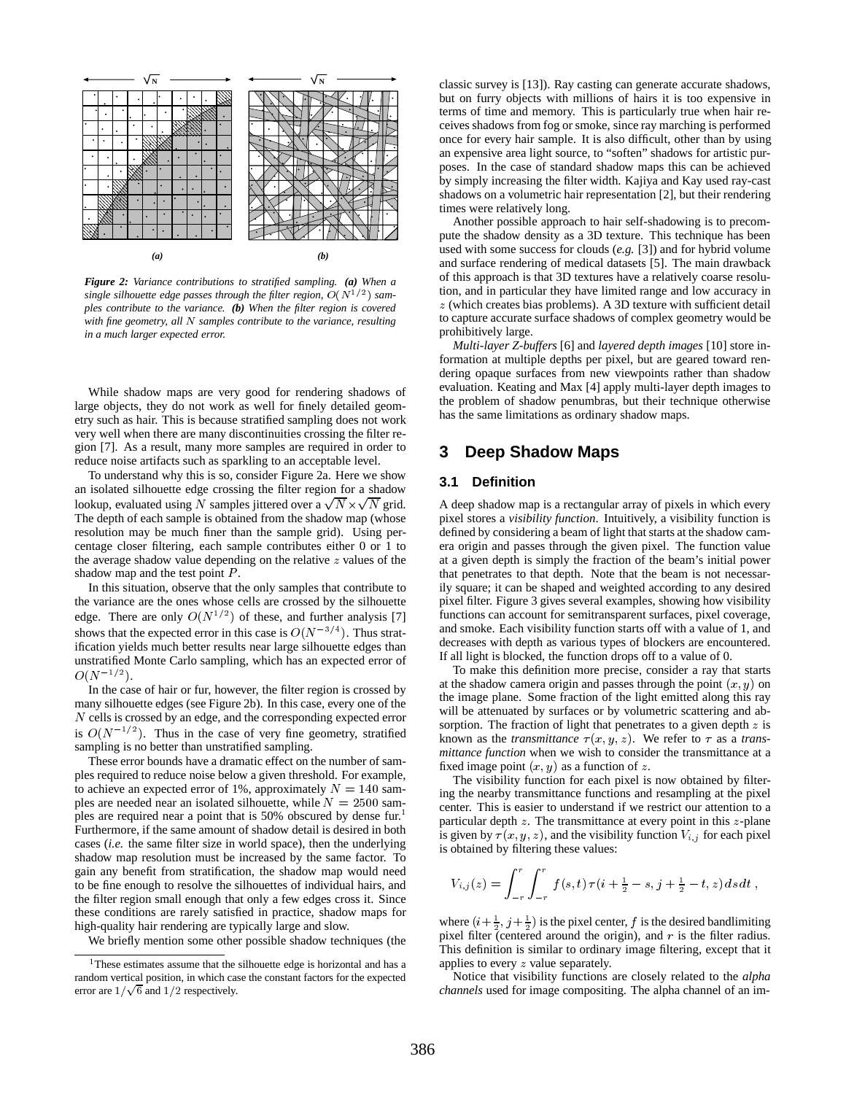

*Figure 2: Variance contributions to stratified sampling. (a) When a* single silhouette edge passes through the filter region,  $O(N^{1/2})$  sam*ples contribute to the variance. (b) When the filter region is covered with fine geometry, all* <sup>N</sup> *samples contribute to the variance, resulting in a much larger expected error.*

While shadow maps are very good for rendering shadows of large objects, they do not work as well for finely detailed geometry such as hair. This is because stratified sampling does not work very well when there are many discontinuities crossing the filter region [7]. As a result, many more samples are required in order to reduce noise artifacts such as sparkling to an acceptable level.

To understand why this is so, consider Figure 2a. Here we show an isolated silhouette edge crossing the filter region for a shadow lookup, evaluated using N samples jittered over a  $\sqrt{N} \times \sqrt{N}$  grid. A d The depth of each sample is obtained from the shadow map (whose resolution may be much finer than the sample grid). Using percentage closer filtering, each sample contributes either 0 or 1 to the average shadow value depending on the relative  $z$  values of the shadow map and the test point  $P$ .

In this situation, observe that the only samples that contribute to the variance are the ones whose cells are crossed by the silhouette edge. There are only  $O(N^{1/2})$  of these, and further analysis [7] shows that the expected error in this case is  $O(N^{-3/4})$ . Thus stratification yields much better results near large silhouette edges than unstratified Monte Carlo sampling, which has an expected error of  $O(N^{-1/2})$ .

In the case of hair or fur, however, the filter region is crossed by many silhouette edges (see Figure 2b). In this case, every one of the <sup>N</sup> cells is crossed by an edge, and the corresponding expected error is  $O(N^{-1/2})$ . Thus in the case of very fine geometry, stratified sampling is no better than unstratified sampling.

These error bounds have a dramatic effect on the number of samples required to reduce noise below a given threshold. For example, to achieve an expected error of 1%, approximately  $N = 140$  samples are needed near an isolated silhouette, while  $N = 2500$  samples are required near a point that is 50% obscured by dense fur.<sup>1</sup> Furthermore, if the same amount of shadow detail is desired in both cases (*i.e.* the same filter size in world space), then the underlying shadow map resolution must be increased by the same factor. To gain any benefit from stratification, the shadow map would need to be fine enough to resolve the silhouettes of individual hairs, and the filter region small enough that only a few edges cross it. Since these conditions are rarely satisfied in practice, shadow maps for high-quality hair rendering are typically large and slow.

We briefly mention some other possible shadow techniques (the

classic survey is [13]). Ray casting can generate accurate shadows, but on furry objects with millions of hairs it is too expensive in terms of time and memory. This is particularly true when hair receives shadows from fog or smoke, since ray marching is performed once for every hair sample. It is also difficult, other than by using an expensive area light source, to "soften" shadows for artistic purposes. In the case of standard shadow maps this can be achieved by simply increasing the filter width. Kajiya and Kay used ray-cast shadows on a volumetric hair representation [2], but their rendering times were relatively long.

Another possible approach to hair self-shadowing is to precompute the shadow density as a 3D texture. This technique has been used with some success for clouds (*e.g.* [3]) and for hybrid volume and surface rendering of medical datasets [5]. The main drawback of this approach is that 3D textures have a relatively coarse resolution, and in particular they have limited range and low accuracy in <sup>z</sup> (which creates bias problems). A 3D texture with sufficient detail to capture accurate surface shadows of complex geometry would be prohibitively large.

*Multi-layer Z-buffers* [6] and *layered depth images* [10] store information at multiple depths per pixel, but are geared toward rendering opaque surfaces from new viewpoints rather than shadow evaluation. Keating and Max [4] apply multi-layer depth images to the problem of shadow penumbras, but their technique otherwise has the same limitations as ordinary shadow maps.

### **3 Deep Shadow Maps**

#### **3.1 Definition**

A deep shadow map is a rectangular array of pixels in which every pixel stores a *visibility function*. Intuitively, a visibility function is defined by considering a beam of light that starts at the shadow camera origin and passes through the given pixel. The function value at a given depth is simply the fraction of the beam's initial power that penetrates to that depth. Note that the beam is not necessarily square; it can be shaped and weighted according to any desired pixel filter. Figure 3 gives several examples, showing how visibility functions can account for semitransparent surfaces, pixel coverage, and smoke. Each visibility function starts off with a value of 1, and decreases with depth as various types of blockers are encountered. If all light is blocked, the function drops off to a value of 0.

To make this definition more precise, consider a ray that starts at the shadow camera origin and passes through the point  $(x, y)$  on the image plane. Some fraction of the light emitted along this ray will be attenuated by surfaces or by volumetric scattering and absorption. The fraction of light that penetrates to a given depth  $z$  is known as the *transmittance*  $\tau(x, y, z)$ . We refer to  $\tau$  as a *transmittance function* when we wish to consider the transmittance at a fixed image point  $(x, y)$  as a function of z.

The visibility function for each pixel is now obtained by filtering the nearby transmittance functions and resampling at the pixel center. This is easier to understand if we restrict our attention to a particular depth  $z$ . The transmittance at every point in this  $z$ -plane is given by  $\tau(x, y, z)$ , and the visibility function  $V_{i,j}$  for each pixel is obtained by filtering these values:

$$
V_{i,j}(z) = \int_{-r}^{r} \int_{-r}^{r} f(s,t) \, \tau(i + \frac{1}{2} - s, j + \frac{1}{2} - t, z) \, ds \, dt \, ,
$$

where  $(i + \frac{1}{2}, j + \frac{1}{2})$  is the pixel center, f is the desired bandlimiting pixel filter (centered around the origin), and  $r$  is the filter radius. This definition is similar to ordinary image filtering, except that it applies to every <sup>z</sup> value separately.

Notice that visibility functions are closely related to the *alpha channels* used for image compositing. The alpha channel of an im-

<sup>&</sup>lt;sup>1</sup>These estimates assume that the silhouette edge is horizontal and has a random vertical position, in which case the constant factors for the expected error are  $1/\sqrt{6}$  and  $1/2$  respectively.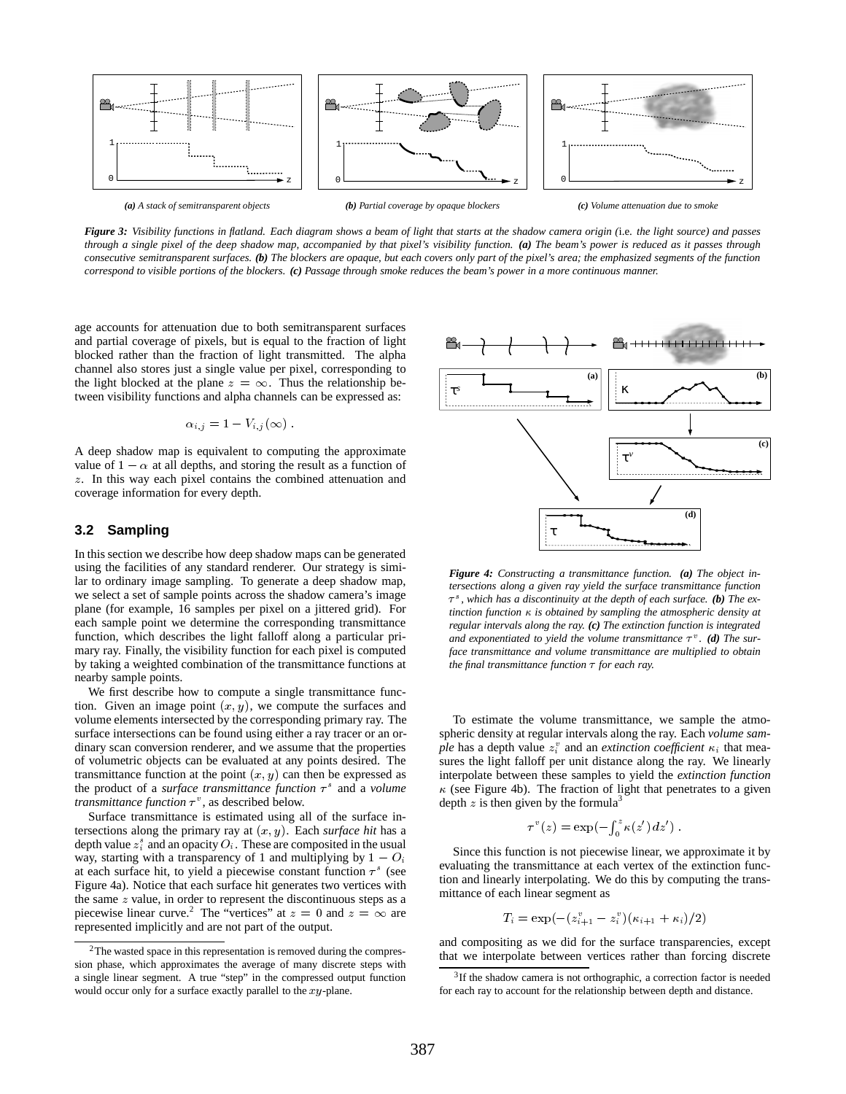

*Figure 3: Visibility functions in flatland. Each diagram shows a beam of light that starts at the shadow camera origin (*i.e. *the light source) and passes through a single pixel of the deep shadow map, accompanied by that pixel's visibility function. (a) The beam's power is reduced as it passes through consecutive semitransparent surfaces. (b) The blockers are opaque, but each covers only part of the pixel's area; the emphasized segments of the function correspond to visible portions of the blockers. (c) Passage through smoke reduces the beam's power in a more continuous manner.*

age accounts for attenuation due to both semitransparent surfaces and partial coverage of pixels, but is equal to the fraction of light blocked rather than the fraction of light transmitted. The alpha channel also stores just a single value per pixel, corresponding to the light blocked at the plane  $z = \infty$ . Thus the relationship between visibility functions and alpha channels can be expressed as:

$$
\alpha_{i,j}=1-V_{i,j}(\infty)\ .
$$

A deep shadow map is equivalent to computing the approximate value of  $1 - \alpha$  at all depths, and storing the result as a function of <sup>z</sup>. In this way each pixel contains the combined attenuation and coverage information for every depth.

### **3.2 Sampling**

In this section we describe how deep shadow maps can be generated using the facilities of any standard renderer. Our strategy is similar to ordinary image sampling. To generate a deep shadow map, we select a set of sample points across the shadow camera's image plane (for example, 16 samples per pixel on a jittered grid). For each sample point we determine the corresponding transmittance function, which describes the light falloff along a particular primary ray. Finally, the visibility function for each pixel is computed by taking a weighted combination of the transmittance functions at nearby sample points.

We first describe how to compute a single transmittance function. Given an image point  $(x, y)$ , we compute the surfaces and volume elements intersected by the corresponding primary ray. The surface intersections can be found using either a ray tracer or an ordinary scan conversion renderer, and we assume that the properties of volumetric objects can be evaluated at any points desired. The transmittance function at the point  $(x, y)$  can then be expressed as the product of a *surface transmittance function*  $\tau^s$  and a *volume transmittance function*  $\tau^v$ , as described below.

Surface transmittance is estimated using all of the surface intersections along the primary ray at  $(x, y)$ . Each *surface hit* has a depth value  $z_i^s$  and an opacity  $O_i$ . These are composited in the usual way, starting with a transparency of 1 and multiplying by  $1 - O_i$ at each surface hit, to yield a piecewise constant function  $\tau^s$  (see Figure 4a). Notice that each surface hit generates two vertices with the same <sup>z</sup> value, in order to represent the discontinuous steps as a piecewise linear curve.<sup>2</sup> The "vertices" at  $z = 0$  and  $z = \infty$  are represented implicitly and are not part of the output.



*Figure 4: Constructing a transmittance function. (a) The object intersections along a given ray yield the surface transmittance function*  $\tau^s$ , which has a discontinuity at the depth of each surface. **(b)** The ex*tinction function is obtained by sampling the atmospheric density at regular intervals along the ray. (c) The extinction function is integrated* and exponentiated to yield the volume transmittance  $\tau^v$ . (d) The sur*face transmittance and volume transmittance are multiplied to obtain the final transmittance function*  $\tau$  *for each ray.* 

To estimate the volume transmittance, we sample the atmospheric density at regular intervals along the ray. Each *volume sample* has a depth value  $z_i^v$  and an *extinction coefficient*  $\kappa_i$  that measures the light falloff per unit distance along the ray. We linearly interpolate between these samples to yield the *extinction function*  $\kappa$  (see Figure 4b). The fraction of light that penetrates to a given depth  $z$  is then given by the formula<sup>3</sup>

$$
\tau^v(z) = \exp(-\int_0^z \kappa(z')\,dz')\;.
$$

Since this function is not piecewise linear, we approximate it by evaluating the transmittance at each vertex of the extinction function and linearly interpolating. We do this by computing the transmittance of each linear segment as

$$
T_i=\exp(-(z_{i+1}^v-z_i^v)(\kappa_{i+1}+\kappa_i)/2)
$$

and compositing as we did for the surface transparencies, except that we interpolate between vertices rather than forcing discrete

<sup>&</sup>lt;sup>2</sup>The wasted space in this representation is removed during the compression phase, which approximates the average of many discrete steps with a single linear segment. A true "step" in the compressed output function would occur only for a surface exactly parallel to the  $xy$ -plane.

<sup>&</sup>lt;sup>3</sup>If the shadow camera is not orthographic, a correction factor is needed for each ray to account for the relationship between depth and distance.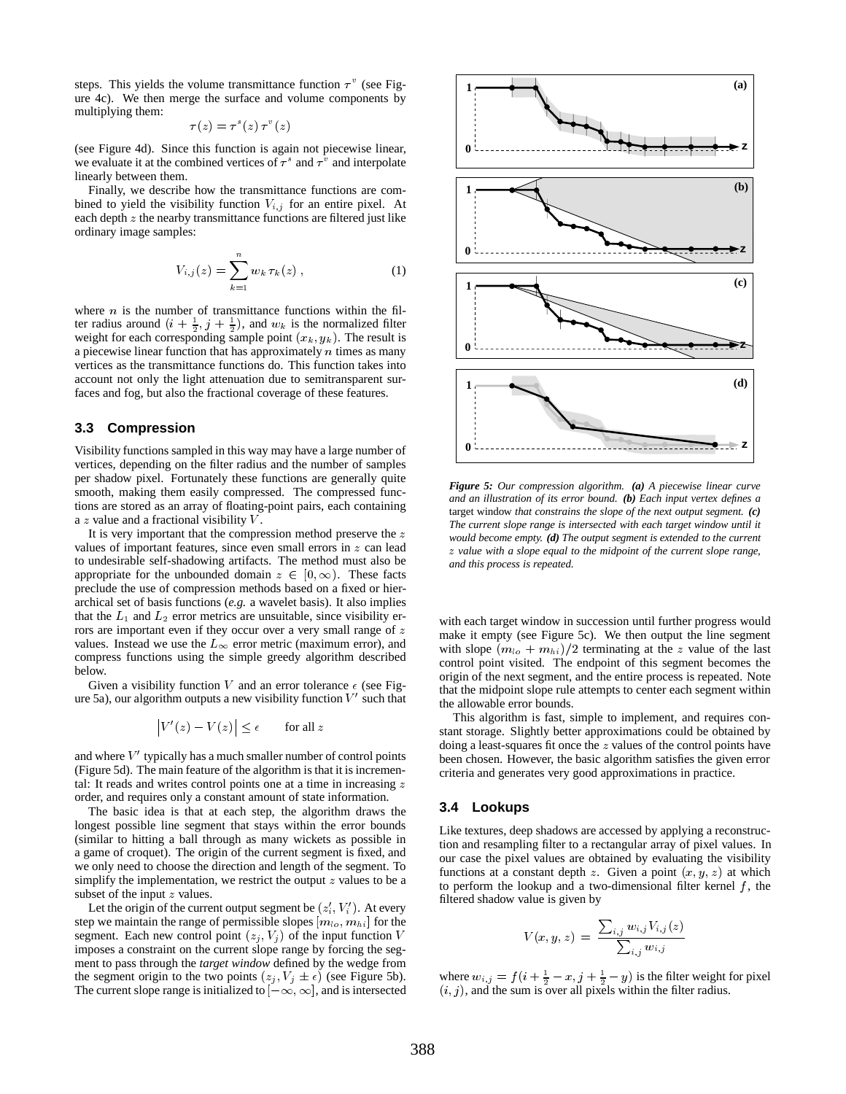steps. This yields the volume transmittance function  $\tau^v$  (see Figure 4c). We then merge the surface and volume components by multiplying them:

$$
\tau(z)=\tau^s(z)\,\tau^v(z)
$$

(see Figure 4d). Since this function is again not piecewise linear, we evaluate it at the combined vertices of  $\tau^s$  and  $\tau^v$  and interpolate linearly between them.

Finally, we describe how the transmittance functions are combined to yield the visibility function  $V_{i,j}$  for an entire pixel. At each depth <sup>z</sup> the nearby transmittance functions are filtered just like ordinary image samples:

$$
V_{i,j}(z) = \sum_{k=1}^{n} w_k \, \tau_k(z) \;, \tag{1}
$$

where  $n$  is the number of transmittance functions within the filter radius around  $(i + \frac{1}{2}, j + \frac{1}{2})$ , and  $w_k$  is the normalized filter weight for each corresponding sample point  $(x_k, y_k)$ . The result is a piecewise linear function that has approximately  $n$  times as many vertices as the transmittance functions do. This function takes into account not only the light attenuation due to semitransparent surfaces and fog, but also the fractional coverage of these features.

### **3.3 Compression**

Visibility functions sampled in this way may have a large number of vertices, depending on the filter radius and the number of samples per shadow pixel. Fortunately these functions are generally quite smooth, making them easily compressed. The compressed functions are stored as an array of floating-point pairs, each containing a <sup>z</sup> value and a fractional visibility <sup>V</sup> .

It is very important that the compression method preserve the  $z$ values of important features, since even small errors in <sup>z</sup> can lead to undesirable self-shadowing artifacts. The method must also be appropriate for the unbounded domain  $z \in [0, \infty)$ . These facts preclude the use of compression methods based on a fixed or hierarchical set of basis functions (*e.g.* a wavelet basis). It also implies that the  $L_1$  and  $L_2$  error metrics are unsuitable, since visibility errors are important even if they occur over a very small range of z values. Instead we use the  $L_{\infty}$  error metric (maximum error), and compress functions using the simple greedy algorithm described below.

Given a visibility function V and an error tolerance  $\epsilon$  (see Figure 5a), our algorithm outputs a new visibility function  $V'$  such that

$$
\left|V'(z) - V(z)\right| \le \epsilon \qquad \text{for all } z
$$

and where  $V'$  typically has a much smaller number of control points (Figure 5d). The main feature of the algorithm is that it is incremental: It reads and writes control points one at a time in increasing  $z$ order, and requires only a constant amount of state information.

The basic idea is that at each step, the algorithm draws the longest possible line segment that stays within the error bounds (similar to hitting a ball through as many wickets as possible in a game of croquet). The origin of the current segment is fixed, and we only need to choose the direction and length of the segment. To simplify the implementation, we restrict the output  $z$  values to be a subset of the input z values.

Let the origin of the current output segment be  $(z'_i, V'_i)$ . At every step we maintain the range of permissible slopes  $[m_{l_o}, m_{h_i}]$  for the segment. Each new control point  $(z_j, V_j)$  of the input function V imposes a constraint on the current slope range by forcing the segment to pass through the *target window* defined by the wedge from the segment origin to the two points  $(z_j, V_j \pm \epsilon)$  (see Figure 5b). The current slope range is initialized to  $[-\infty, \infty]$ , and is intersected



*Figure 5: Our compression algorithm. (a) A piecewise linear curve and an illustration of its error bound. (b) Each input vertex defines a* target window *that constrains the slope of the next output segment. (c) The current slope range is intersected with each target window until it would become empty. (d) The output segment is extended to the current* <sup>z</sup> *value with a slope equal to the midpoint of the current slope range, and this process is repeated.*

with each target window in succession until further progress would make it empty (see Figure 5c). We then output the line segment with slope  $(m_{l_o} + m_{h_i})/2$  terminating at the z value of the last control point visited. The endpoint of this segment becomes the origin of the next segment, and the entire process is repeated. Note that the midpoint slope rule attempts to center each segment within the allowable error bounds.

This algorithm is fast, simple to implement, and requires constant storage. Slightly better approximations could be obtained by doing a least-squares fit once the <sup>z</sup> values of the control points have been chosen. However, the basic algorithm satisfies the given error criteria and generates very good approximations in practice.

### **3.4 Lookups**

Like textures, deep shadows are accessed by applying a reconstruction and resampling filter to a rectangular array of pixel values. In our case the pixel values are obtained by evaluating the visibility functions at a constant depth z. Given a point  $(x, y, z)$  at which to perform the lookup and a two-dimensional filter kernel  $f$ , the filtered shadow value is given by

$$
V(x,y,z) \, = \, \frac{\sum_{i,j} w_{i,j} V_{i,j}(z)}{\sum_{i,j} w_{i,j}}
$$

where  $w_{i,j} = f(i + \frac{1}{2} - x, j + \frac{1}{2} - y)$  is the filter weight for pixel  $(i, j)$ , and the sum is over all pixels within the filter radius.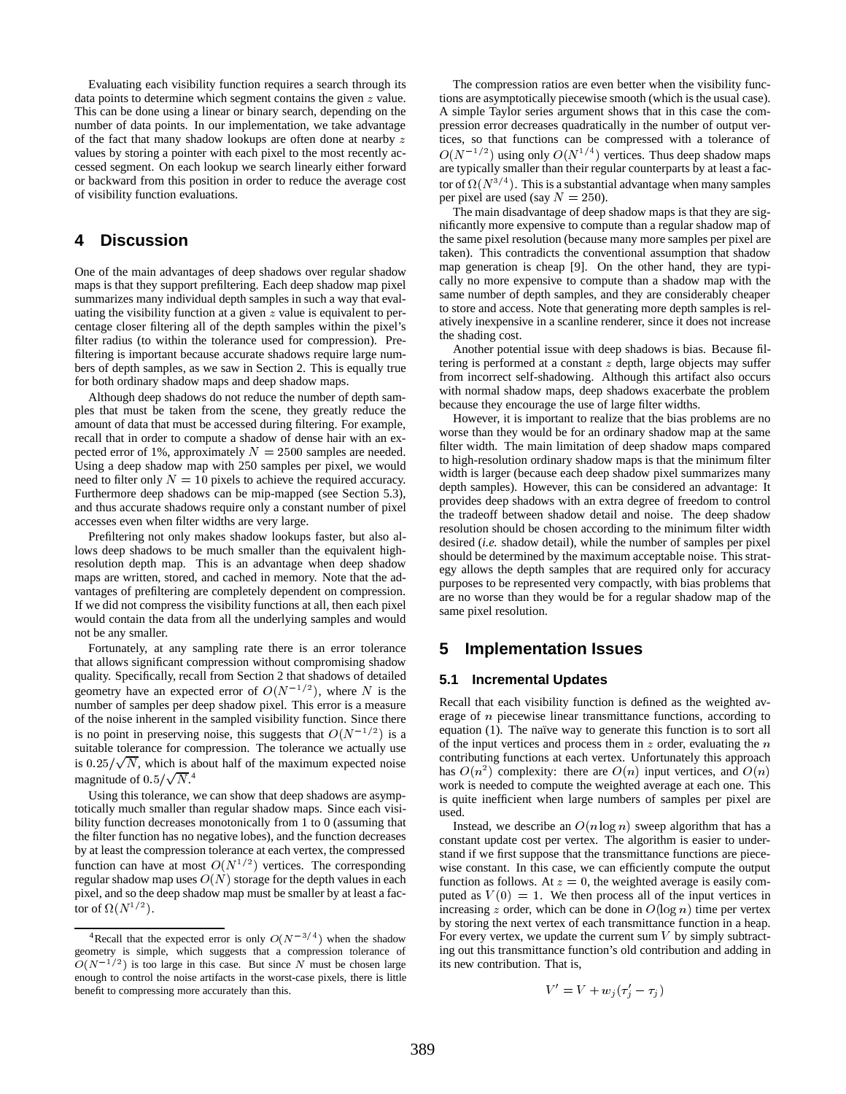Evaluating each visibility function requires a search through its data points to determine which segment contains the given <sup>z</sup> value. This can be done using a linear or binary search, depending on the number of data points. In our implementation, we take advantage of the fact that many shadow lookups are often done at nearby <sup>z</sup> values by storing a pointer with each pixel to the most recently accessed segment. On each lookup we search linearly either forward or backward from this position in order to reduce the average cost of visibility function evaluations.

### **4 Discussion**

One of the main advantages of deep shadows over regular shadow maps is that they support prefiltering. Each deep shadow map pixel summarizes many individual depth samples in such a way that evaluating the visibility function at a given  $z$  value is equivalent to percentage closer filtering all of the depth samples within the pixel's filter radius (to within the tolerance used for compression). Prefiltering is important because accurate shadows require large numbers of depth samples, as we saw in Section 2. This is equally true for both ordinary shadow maps and deep shadow maps.

Although deep shadows do not reduce the number of depth samples that must be taken from the scene, they greatly reduce the amount of data that must be accessed during filtering. For example, recall that in order to compute a shadow of dense hair with an expected error of 1%, approximately  $N = 2500$  samples are needed. Using a deep shadow map with 250 samples per pixel, we would need to filter only  $N = 10$  pixels to achieve the required accuracy. Furthermore deep shadows can be mip-mapped (see Section 5.3), and thus accurate shadows require only a constant number of pixel accesses even when filter widths are very large.

Prefiltering not only makes shadow lookups faster, but also allows deep shadows to be much smaller than the equivalent highresolution depth map. This is an advantage when deep shadow maps are written, stored, and cached in memory. Note that the advantages of prefiltering are completely dependent on compression. If we did not compress the visibility functions at all, then each pixel would contain the data from all the underlying samples and would not be any smaller.

Fortunately, at any sampling rate there is an error tolerance that allows significant compression without compromising shadow quality. Specifically, recall from Section 2 that shadows of detailed geometry have an expected error of  $O(N^{-1/2})$ , where N is the number of samples per deep shadow pixel. This error is a measure of the noise inherent in the sampled visibility function. Since there is no point in preserving noise, this suggests that  $O(N^{-1/2})$  is a suitable tolerance for compression. The tolerance we actually use is  $0.25/\sqrt{N}$ , which is about half of the maximum expected noise magnitude of  $0.5/\sqrt{N}$ .<sup>4</sup>

Using this tolerance, we can show that deep shadows are asymptotically much smaller than regular shadow maps. Since each visibility function decreases monotonically from 1 to 0 (assuming that the filter function has no negative lobes), and the function decreases by at least the compression tolerance at each vertex, the compressed function can have at most  $O(N^{1/2})$  vertices. The corresponding regular shadow map uses  $O(N)$  storage for the depth values in each pixel, and so the deep shadow map must be smaller by at least a factor of  $\Omega(N^{1/2})$ .

The compression ratios are even better when the visibility functions are asymptotically piecewise smooth (which is the usual case). A simple Taylor series argument shows that in this case the compression error decreases quadratically in the number of output vertices, so that functions can be compressed with a tolerance of  $O(N^{-1/2})$  using only  $O(N^{1/4})$  vertices. Thus deep shadow maps are typically smaller than their regular counterparts by at least a factor of  $\Omega(N^{3/4})$ . This is a substantial advantage when many samples per pixel are used (say  $N = 250$ ).

The main disadvantage of deep shadow maps is that they are significantly more expensive to compute than a regular shadow map of the same pixel resolution (because many more samples per pixel are taken). This contradicts the conventional assumption that shadow map generation is cheap [9]. On the other hand, they are typically no more expensive to compute than a shadow map with the same number of depth samples, and they are considerably cheaper to store and access. Note that generating more depth samples is relatively inexpensive in a scanline renderer, since it does not increase the shading cost.

Another potential issue with deep shadows is bias. Because filtering is performed at a constant  $z$  depth, large objects may suffer from incorrect self-shadowing. Although this artifact also occurs with normal shadow maps, deep shadows exacerbate the problem because they encourage the use of large filter widths.

However, it is important to realize that the bias problems are no worse than they would be for an ordinary shadow map at the same filter width. The main limitation of deep shadow maps compared to high-resolution ordinary shadow maps is that the minimum filter width is larger (because each deep shadow pixel summarizes many depth samples). However, this can be considered an advantage: It provides deep shadows with an extra degree of freedom to control the tradeoff between shadow detail and noise. The deep shadow resolution should be chosen according to the minimum filter width desired (*i.e.* shadow detail), while the number of samples per pixel should be determined by the maximum acceptable noise. This strategy allows the depth samples that are required only for accuracy purposes to be represented very compactly, with bias problems that are no worse than they would be for a regular shadow map of the same pixel resolution.

### **5 Implementation Issues**

#### **5.1 Incremental Updates**

Recall that each visibility function is defined as the weighted average of  $n$  piecewise linear transmittance functions, according to equation (1). The naïve way to generate this function is to sort all of the input vertices and process them in  $z$  order, evaluating the  $n$ contributing functions at each vertex. Unfortunately this approach has  $O(n^2)$  complexity: there are  $O(n)$  input vertices, and  $O(n)$ work is needed to compute the weighted average at each one. This is quite inefficient when large numbers of samples per pixel are used.

Instead, we describe an  $O(n \log n)$  sweep algorithm that has a constant update cost per vertex. The algorithm is easier to understand if we first suppose that the transmittance functions are piecewise constant. In this case, we can efficiently compute the output function as follows. At  $z = 0$ , the weighted average is easily computed as  $V(0) = 1$ . We then process all of the input vertices in increasing  $z$  order, which can be done in  $O(\log n)$  time per vertex by storing the next vertex of each transmittance function in a heap. For every vertex, we update the current sum  $V$  by simply subtracting out this transmittance function's old contribution and adding in its new contribution. That is,

$$
V'=V+w_j(\tau'_j-\tau_j)
$$

<sup>&</sup>lt;sup>4</sup>Recall that the expected error is only  $O(N^{-3/4})$  when the shadow geometry is simple, which suggests that a compression tolerance of  $O(N^{-1/2})$  is too large in this case. But since N must be chosen large enough to control the noise artifacts in the worst-case pixels, there is little benefit to compressing more accurately than this.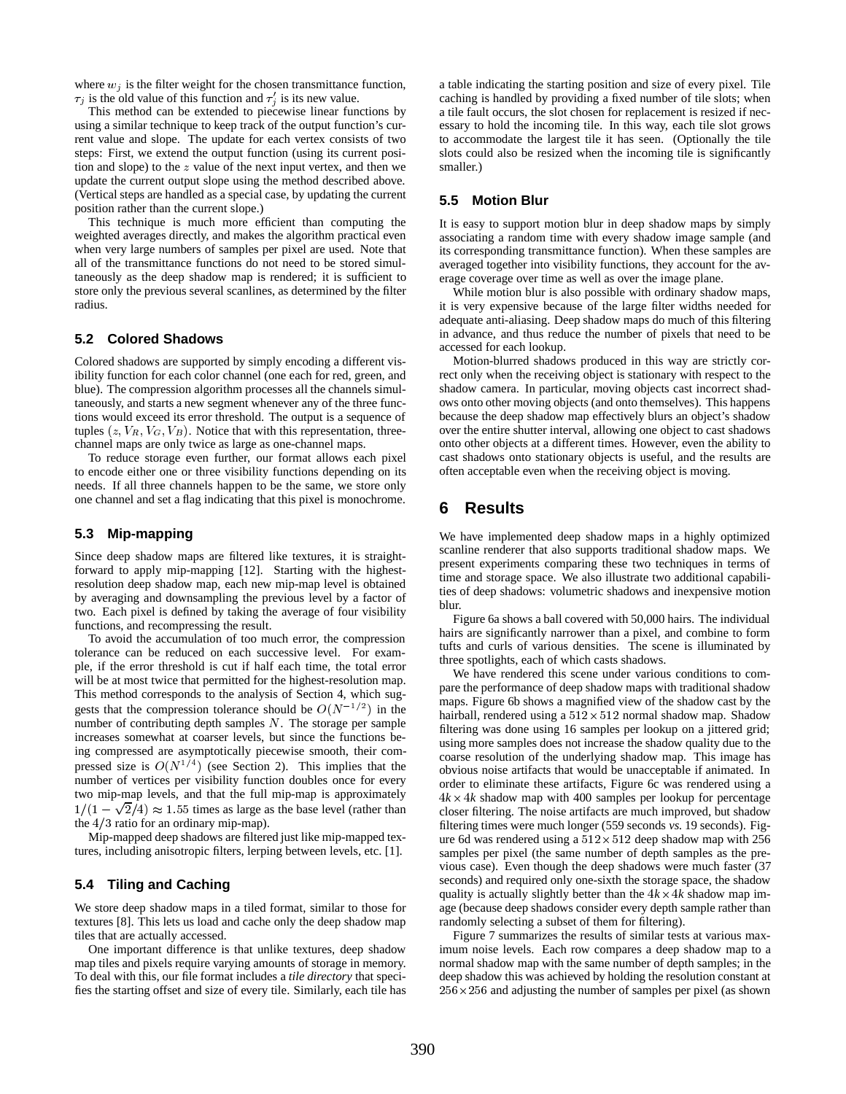where  $w_i$  is the filter weight for the chosen transmittance function,  $\tau_j$  is the old value of this function and  $\tau'_j$  is its new value.

This method can be extended to piecewise linear functions by using a similar technique to keep track of the output function's current value and slope. The update for each vertex consists of two steps: First, we extend the output function (using its current position and slope) to the <sup>z</sup> value of the next input vertex, and then we update the current output slope using the method described above. (Vertical steps are handled as a special case, by updating the current position rather than the current slope.)

This technique is much more efficient than computing the weighted averages directly, and makes the algorithm practical even when very large numbers of samples per pixel are used. Note that all of the transmittance functions do not need to be stored simultaneously as the deep shadow map is rendered; it is sufficient to store only the previous several scanlines, as determined by the filter radius.

### **5.2 Colored Shadows**

Colored shadows are supported by simply encoding a different visibility function for each color channel (one each for red, green, and blue). The compression algorithm processes all the channels simultaneously, and starts a new segment whenever any of the three functions would exceed its error threshold. The output is a sequence of tuples  $(z, V_R, V_G, V_B)$ . Notice that with this representation, threechannel maps are only twice as large as one-channel maps.

To reduce storage even further, our format allows each pixel to encode either one or three visibility functions depending on its needs. If all three channels happen to be the same, we store only one channel and set a flag indicating that this pixel is monochrome.

#### **5.3 Mip-mapping**

Since deep shadow maps are filtered like textures, it is straightforward to apply mip-mapping [12]. Starting with the highestresolution deep shadow map, each new mip-map level is obtained by averaging and downsampling the previous level by a factor of two. Each pixel is defined by taking the average of four visibility functions, and recompressing the result.

To avoid the accumulation of too much error, the compression tolerance can be reduced on each successive level. For example, if the error threshold is cut if half each time, the total error will be at most twice that permitted for the highest-resolution map. This method corresponds to the analysis of Section 4, which suggests that the compression tolerance should be  $O(N^{-1/2})$  in the number of contributing depth samples  $N$ . The storage per sample increases somewhat at coarser levels, but since the functions being compressed are asymptotically piecewise smooth, their compressed size is  $O(N^{1/4})$  (see Section 2). This implies that the number of vertices per visibility function doubles once for every two mip-map levels, and that the full mip-map is approximately  $1/(1-\sqrt{2}/4) \approx 1.55$  times as large as the base level (rather than the  $4/3$  ratio for an ordinary mip-map).

Mip-mapped deep shadows are filtered just like mip-mapped textures, including anisotropic filters, lerping between levels, etc. [1].

### **5.4 Tiling and Caching**

We store deep shadow maps in a tiled format, similar to those for textures [8]. This lets us load and cache only the deep shadow map tiles that are actually accessed.

One important difference is that unlike textures, deep shadow map tiles and pixels require varying amounts of storage in memory. To deal with this, our file format includes a *tile directory* that specifies the starting offset and size of every tile. Similarly, each tile has a table indicating the starting position and size of every pixel. Tile caching is handled by providing a fixed number of tile slots; when a tile fault occurs, the slot chosen for replacement is resized if necessary to hold the incoming tile. In this way, each tile slot grows to accommodate the largest tile it has seen. (Optionally the tile slots could also be resized when the incoming tile is significantly smaller.)

#### **5.5 Motion Blur**

It is easy to support motion blur in deep shadow maps by simply associating a random time with every shadow image sample (and its corresponding transmittance function). When these samples are averaged together into visibility functions, they account for the average coverage over time as well as over the image plane.

While motion blur is also possible with ordinary shadow maps, it is very expensive because of the large filter widths needed for adequate anti-aliasing. Deep shadow maps do much of this filtering in advance, and thus reduce the number of pixels that need to be accessed for each lookup.

Motion-blurred shadows produced in this way are strictly correct only when the receiving object is stationary with respect to the shadow camera. In particular, moving objects cast incorrect shadows onto other moving objects (and onto themselves). This happens because the deep shadow map effectively blurs an object's shadow over the entire shutter interval, allowing one object to cast shadows onto other objects at a different times. However, even the ability to cast shadows onto stationary objects is useful, and the results are often acceptable even when the receiving object is moving.

# **6 Results**

We have implemented deep shadow maps in a highly optimized scanline renderer that also supports traditional shadow maps. We present experiments comparing these two techniques in terms of time and storage space. We also illustrate two additional capabilities of deep shadows: volumetric shadows and inexpensive motion blur.

Figure 6a shows a ball covered with 50,000 hairs. The individual hairs are significantly narrower than a pixel, and combine to form tufts and curls of various densities. The scene is illuminated by three spotlights, each of which casts shadows.

We have rendered this scene under various conditions to compare the performance of deep shadow maps with traditional shadow maps. Figure 6b shows a magnified view of the shadow cast by the hairball, rendered using a  $512 \times 512$  normal shadow map. Shadow filtering was done using 16 samples per lookup on a jittered grid; using more samples does not increase the shadow quality due to the coarse resolution of the underlying shadow map. This image has obvious noise artifacts that would be unacceptable if animated. In order to eliminate these artifacts, Figure 6c was rendered using a  $4k \times 4k$  shadow map with 400 samples per lookup for percentage closer filtering. The noise artifacts are much improved, but shadow filtering times were much longer (559 seconds *vs.* 19 seconds). Figure 6d was rendered using a  $512 \times 512$  deep shadow map with 256 samples per pixel (the same number of depth samples as the previous case). Even though the deep shadows were much faster (37 seconds) and required only one-sixth the storage space, the shadow quality is actually slightly better than the  $4k \times 4k$  shadow map image (because deep shadows consider every depth sample rather than randomly selecting a subset of them for filtering).

Figure 7 summarizes the results of similar tests at various maximum noise levels. Each row compares a deep shadow map to a normal shadow map with the same number of depth samples; in the deep shadow this was achieved by holding the resolution constant at  $256 \times 256$  and adjusting the number of samples per pixel (as shown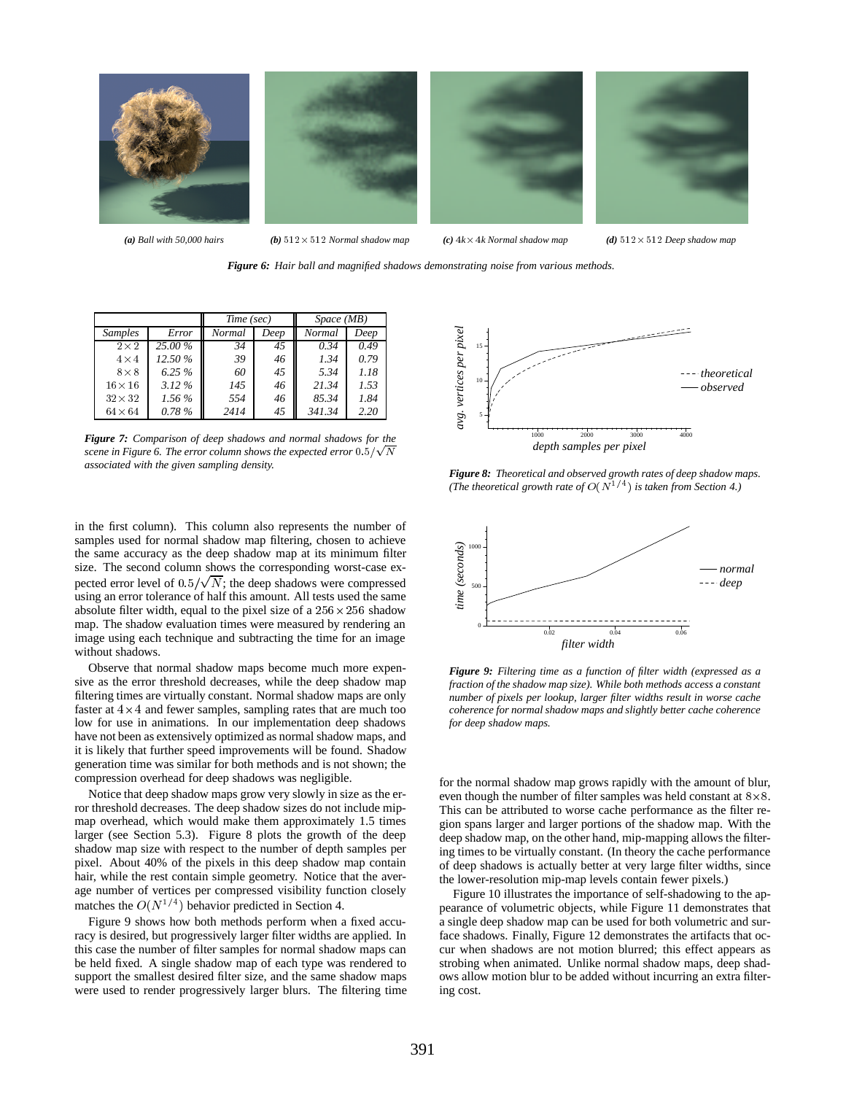

*(a) Ball with 50,000 hairs* 

 $(b)$  512  $\times$  512 *Normal shadow map* 

 $(c)$  4 $k \times 4k$  *Normal shadow map* 



*Figure 6: Hair ball and magnified shadows demonstrating noise from various methods.*

|                |          | Time (sec) |      | Space(MB) |      |
|----------------|----------|------------|------|-----------|------|
| <b>Samples</b> | Error    | Normal     | Deep | Normal    | Deep |
| $2\times 2$    | 25.00 %  | 34         | 45   | 0.34      | 0.49 |
| $4 \times 4$   | 12.50 %  | 39         | 46   | 1.34      | 0.79 |
| $8 \times 8$   | 6.25%    | 60         | 45   | 5.34      | 1.18 |
| $16 \times 16$ | 3.12%    | 145        | 46   | 21.34     | 1.53 |
| $32 \times 32$ | $1.56\%$ | 554        | 46   | 85.34     | 1.84 |
| $64 \times 64$ | 0.78%    | 2414       | 45   | 341.34    | 2.20 |

*Figure 7: Comparison of deep shadows and normal shadows for the* scene in Figure 6. The error column shows the expected error  $0.5/\sqrt{N}$ *associated with the given sampling density.*

in the first column). This column also represents the number of samples used for normal shadow map filtering, chosen to achieve the same accuracy as the deep shadow map at its minimum filter size. The second column shows the corresponding worst-case expected error level of  $0.5/\sqrt{N}$ ; the deep shadows were compressed using an error tolerance of half this amount. All tests used the same absolute filter width, equal to the pixel size of a  $256 \times 256$  shadow map. The shadow evaluation times were measured by rendering an image using each technique and subtracting the time for an image without shadows.

Observe that normal shadow maps become much more expensive as the error threshold decreases, while the deep shadow map filtering times are virtually constant. Normal shadow maps are only faster at  $4 \times 4$  and fewer samples, sampling rates that are much too low for use in animations. In our implementation deep shadows have not been as extensively optimized as normal shadow maps, and it is likely that further speed improvements will be found. Shadow generation time was similar for both methods and is not shown; the compression overhead for deep shadows was negligible.

Notice that deep shadow maps grow very slowly in size as the error threshold decreases. The deep shadow sizes do not include mipmap overhead, which would make them approximately 1.5 times larger (see Section 5.3). Figure 8 plots the growth of the deep shadow map size with respect to the number of depth samples per pixel. About 40% of the pixels in this deep shadow map contain hair, while the rest contain simple geometry. Notice that the average number of vertices per compressed visibility function closely matches the  $O(N^{1/4})$  behavior predicted in Section 4.

Figure 9 shows how both methods perform when a fixed accuracy is desired, but progressively larger filter widths are applied. In this case the number of filter samples for normal shadow maps can be held fixed. A single shadow map of each type was rendered to support the smallest desired filter size, and the same shadow maps were used to render progressively larger blurs. The filtering time



*Figure 8: Theoretical and observed growth rates of deep shadow maps. (The theoretical growth rate of*  $O(N^{1/4})$  *is taken from Section 4.)* 



*Figure 9: Filtering time as a function of filter width (expressed as a fraction of the shadow map size). While both methods access a constant number of pixels per lookup, larger filter widths result in worse cache coherence for normal shadow maps and slightly better cache coherence for deep shadow maps.*

for the normal shadow map grows rapidly with the amount of blur, even though the number of filter samples was held constant at  $8 \times 8$ . This can be attributed to worse cache performance as the filter region spans larger and larger portions of the shadow map. With the deep shadow map, on the other hand, mip-mapping allows the filtering times to be virtually constant. (In theory the cache performance of deep shadows is actually better at very large filter widths, since the lower-resolution mip-map levels contain fewer pixels.)

Figure 10 illustrates the importance of self-shadowing to the appearance of volumetric objects, while Figure 11 demonstrates that a single deep shadow map can be used for both volumetric and surface shadows. Finally, Figure 12 demonstrates the artifacts that occur when shadows are not motion blurred; this effect appears as strobing when animated. Unlike normal shadow maps, deep shadows allow motion blur to be added without incurring an extra filtering cost.